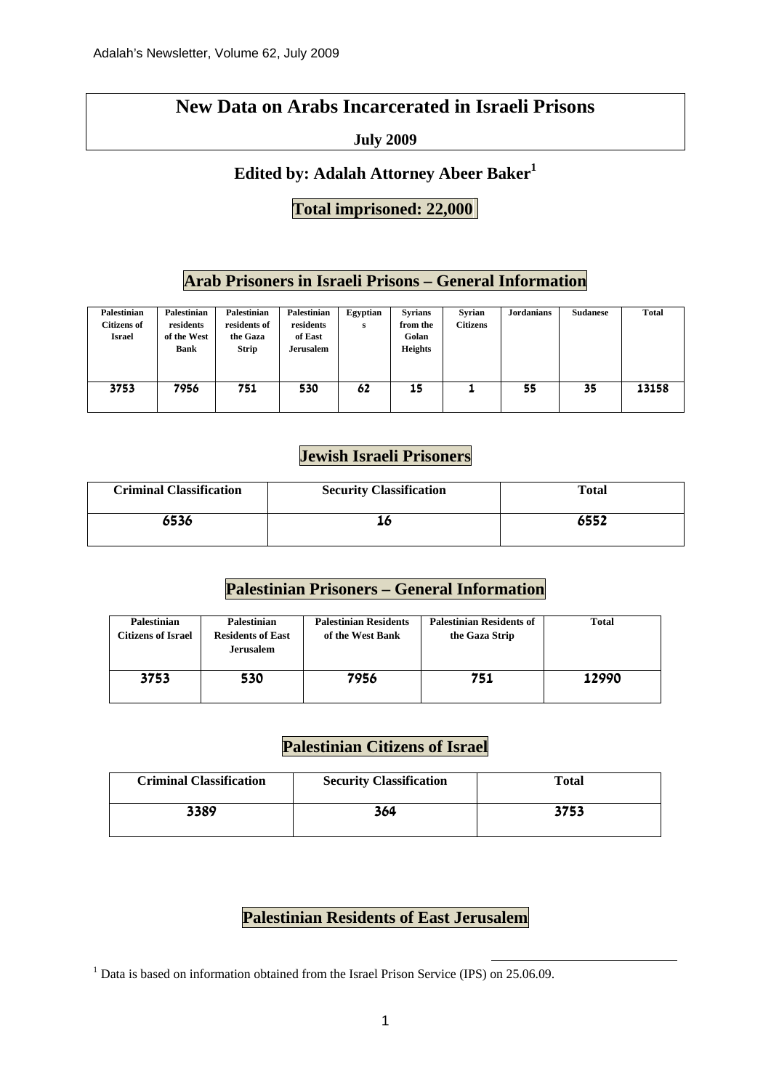#### **New Data on Arabs Incarcerated in Israeli Prisons**

#### **July 2009**

#### **Edited by: Adalah Attorney Abeer Baker<sup>1</sup>**

#### **Total imprisoned: 22,000**

#### **Arab Prisoners in Israeli Prisons – General Information**

| <b>Palestinian</b><br><b>Citizens of</b><br><b>Israel</b> | <b>Palestinian</b><br>residents<br>of the West<br><b>Bank</b> | Palestinian<br>residents of<br>the Gaza<br><b>Strip</b> | Palestinian<br>residents<br>of East<br><b>Jerusalem</b> | Egyptian<br>s | <b>Syrians</b><br>from the<br>Golan<br><b>Heights</b> | Svrian<br><b>Citizens</b> | <b>Jordanians</b> | <b>Sudanese</b> | <b>Total</b> |
|-----------------------------------------------------------|---------------------------------------------------------------|---------------------------------------------------------|---------------------------------------------------------|---------------|-------------------------------------------------------|---------------------------|-------------------|-----------------|--------------|
| 3753                                                      | 7956                                                          | 751                                                     | 530                                                     | 62            | 15                                                    |                           | 55                | 35              | 13158        |

#### **Jewish Israeli Prisoners**

| <b>Criminal Classification</b> | <b>Security Classification</b> | <b>Total</b> |
|--------------------------------|--------------------------------|--------------|
| 6536                           |                                | 6552         |

#### **Palestinian Prisoners – General Information**

| <b>Palestinian</b><br>Citizens of Israel | <b>Palestinian</b><br><b>Residents of East</b><br><b>Jerusalem</b> | <b>Palestinian Residents</b><br>of the West Bank | <b>Palestinian Residents of</b><br>the Gaza Strip | <b>Total</b> |
|------------------------------------------|--------------------------------------------------------------------|--------------------------------------------------|---------------------------------------------------|--------------|
| 3753                                     | 530                                                                | 7956                                             | 751                                               | 12990        |

#### **Palestinian Citizens of Israel**

| <b>Criminal Classification</b> | <b>Security Classification</b> | Total |
|--------------------------------|--------------------------------|-------|
| 3389                           | 364                            | 3753  |

#### **Palestinian Residents of East Jerusalem**

<sup>1</sup> Data is based on information obtained from the Israel Prison Service (IPS) on 25.06.09.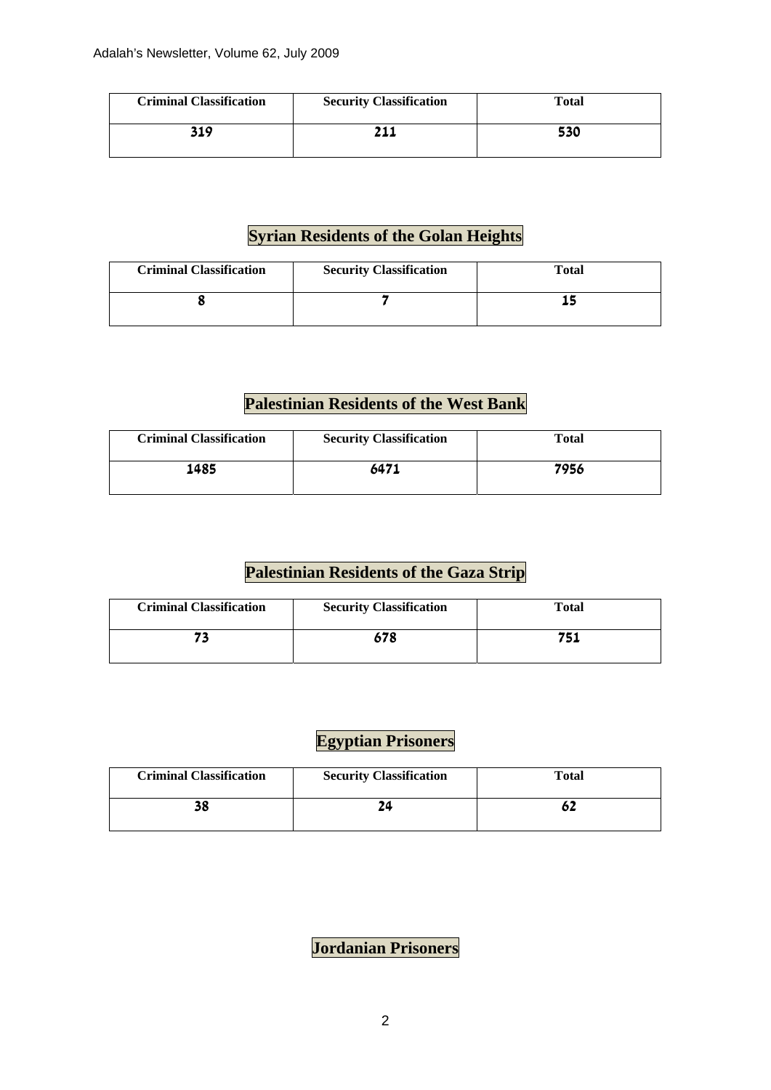| <b>Criminal Classification</b> | <b>Security Classification</b> | Total |
|--------------------------------|--------------------------------|-------|
| 319                            |                                | 530   |

#### **Syrian Residents of the Golan Heights**

| <b>Criminal Classification</b> | <b>Security Classification</b> | Total |
|--------------------------------|--------------------------------|-------|
|                                |                                |       |

### **Palestinian Residents of the West Bank**

| <b>Criminal Classification</b> | <b>Security Classification</b> | <b>Total</b> |
|--------------------------------|--------------------------------|--------------|
| 1485                           | 6471                           | 7956         |

#### **Palestinian Residents of the Gaza Strip**

| <b>Criminal Classification</b> | <b>Security Classification</b> | Total |
|--------------------------------|--------------------------------|-------|
|                                | 678                            | 751   |

#### **Egyptian Prisoners**

| <b>Criminal Classification</b> | <b>Security Classification</b> | Total |
|--------------------------------|--------------------------------|-------|
| 38                             |                                |       |

## **Jordanian Prisoners**